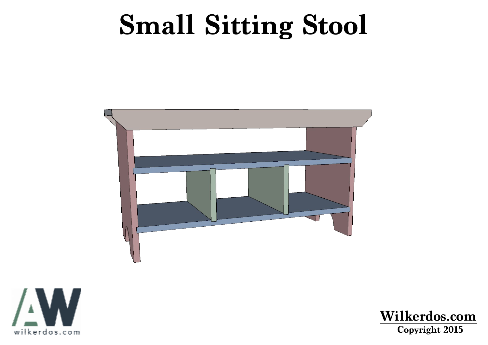# **Small Sitting Stool**





### **Wilkerdos.com Copyright 2015**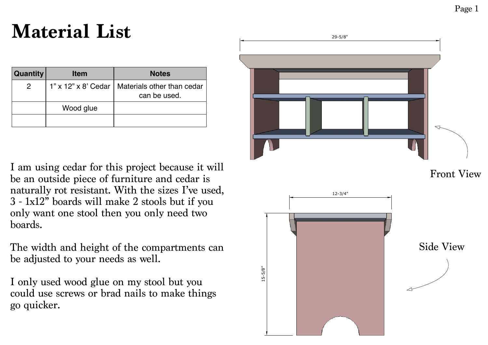## **Material List**

| Quantity     | <b>Item</b> | <b>Notes</b>                                                     |
|--------------|-------------|------------------------------------------------------------------|
| $\mathbf{2}$ |             | 1" x 12" x 8' Cedar   Materials other than cedar<br>can be used. |
|              | Wood glue   |                                                                  |
|              |             |                                                                  |

I am using cedar for this project because it will be an outside piece of furniture and cedar is naturally rot resistant. With the sizes I've used, 3 - 1x12" boards will make 2 stools but if you only want one stool then you only need two boards.

The width and height of the compartments can be adjusted to your needs as well.

I only used wood glue on my stool but you could use screws or brad nails to make things go quicker.



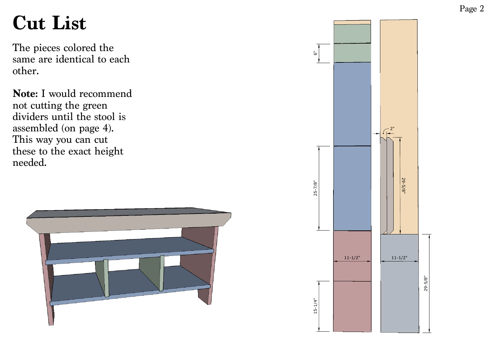### **Cut List**

Page 2

The pieces colored the same are identical to each other.

**Note:** I would recommend not cutting the green dividers until the stool is assembled (on page 4). This way you can cut these to the exact height needed.





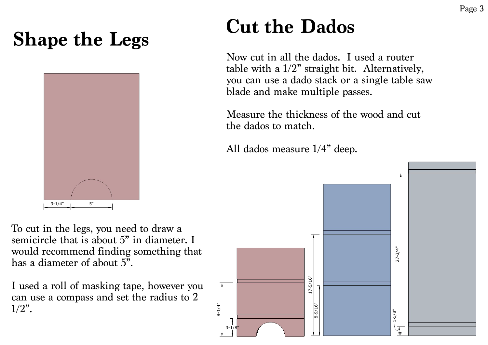**Cut the Dados**

Now cut in all the dados. I used a router table with a 1/2" straight bit. Alternatively, you can use a dado stack or a single table saw blade and make multiple passes.

Measure the thickness of the wood and cut the dados to match.

I used a roll of masking tape, however you can use a compass and set the radius to 2  $1/2$ ".

All dados measure 1/4" deep.

### **Shape the Legs**

To cut in the legs, you need to draw a semicircle that is about 5" in diameter. I would recommend finding something that has a diameter of about 5".



9-1/4"